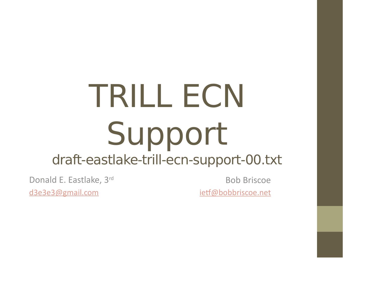## TRILL ECN Support draft-eastlake-trill-ecn-support-00.txt

Donald E. Eastlake, 3rd [d3e3e3@gmail.com](mailto:d3e3e3@gmail.com)

Bob Briscoe [ietf@bobbriscoe.net](mailto:ietf@bobbriscoe.net)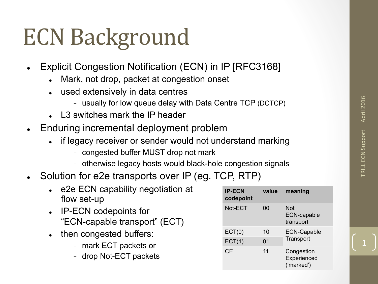#### **ECN Background**

- Explicit Congestion Notification (ECN) in IP [RFC3168]
	- Mark, not drop, packet at congestion onset
	- used extensively in data centres
		- usually for low queue delay with Data Centre TCP (DCTCP)
	- $\blacksquare$  L3 switches mark the IP header
- Enduring incremental deployment problem
	- if legacy receiver or sender would not understand marking
		- congested buffer MUST drop not mark
		- otherwise legacy hosts would black-hole congestion signals
- Solution for e2e transports over IP (eg. TCP, RTP)
	- e2e ECN capability negotiation at flow set-up
	- <sup>l</sup> IP-ECN codepoints for "ECN-capable transport" (ECT)
	- then congested buffers:
		- mark ECT packets or
		- drop Not-ECT packets

| <b>IP-ECN</b><br>codepoint | value | meaning                                 |  |
|----------------------------|-------|-----------------------------------------|--|
| Not-ECT                    | ΩO    | Not<br><b>ECN-capable</b><br>transport  |  |
| ECT(0)                     | 10    | <b>ECN-Capable</b><br>Transport         |  |
| ECT(1)                     | 01    |                                         |  |
| CЕ                         | 11    | Congestion<br>Experienced<br>('marked') |  |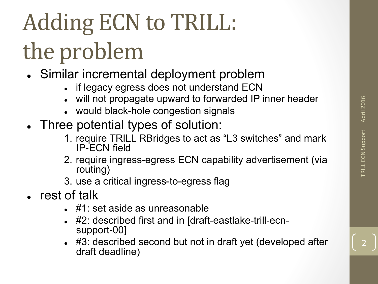## Adding ECN to TRILL: the problem

- Similar incremental deployment problem
	- . if legacy egress does not understand ECN
	- . will not propagate upward to forwarded IP inner header
	- would black-hole congestion signals
- Three potential types of solution:
	- 1. require TRILL RBridges to act as "L3 switches" and mark IP-ECN field
	- 2. require ingress-egress ECN capability advertisement (via routing)
	- 3. use a critical ingress-to-egress flag
- rest of talk
	- #1: set aside as unreasonable
	- #2: described first and in [draft-eastlake-trill-ecnsupport-00]
	- #3: described second but not in draft yet (developed after draft deadline)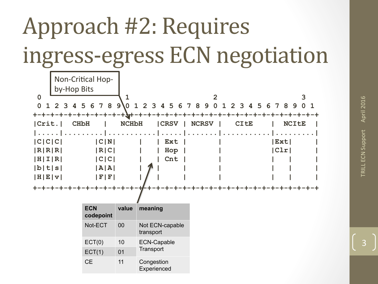#### Approach #2: Requires ingress-egress ECN negotiation

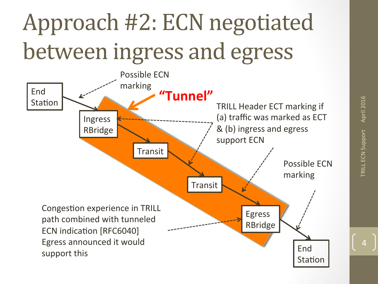## Approach #2: ECN negotiated between ingress and egress



 $\varDelta$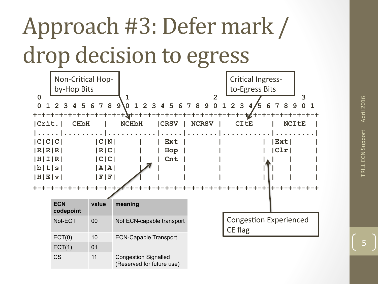#### Approach #3: Defer mark / drop decision to egress

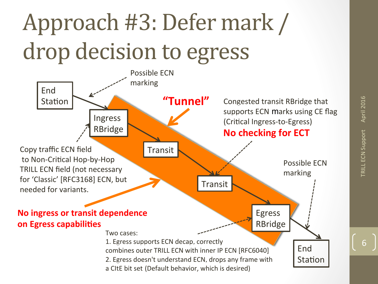## Approach #3: Defer mark / drop decision to egress

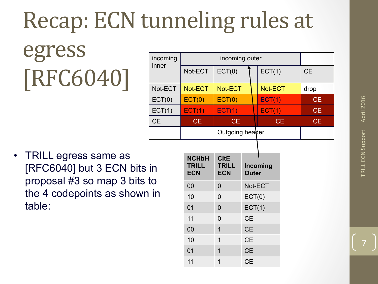#### Recap: ECN tunneling rules at

#### egress [RFC6040]

| incoming  | incoming outer  |         |           |           |
|-----------|-----------------|---------|-----------|-----------|
| inner     | Not-ECT         | ECT(0)  | ECT(1)    | <b>CE</b> |
| Not-ECT   | Not-ECT         | Not-ECT | Not-ECT   | drop      |
| ECT(0)    | ECT(0)          | ECT(0)  | ECT(1)    | <b>CE</b> |
| ECT(1)    | ECT(1)          | ECT(1)  | ECT(1)    | <b>CE</b> |
| <b>CE</b> | <b>CE</b>       | CE.     | <b>CE</b> | <b>CE</b> |
|           | Outgoing header |         |           |           |

• TRILL egress same as [RFC6040] but 3 ECN bits in proposal #3 so map 3 bits to the 4 codepoints as shown in table:

| <b>NCHbH</b><br><b>TRILL</b><br><b>ECN</b> | <b>CItE</b><br><b>TRILL</b><br><b>ECN</b> | Incoming<br><b>Outer</b> |
|--------------------------------------------|-------------------------------------------|--------------------------|
| 00                                         | 0                                         | Not-ECT                  |
| 10                                         | 0                                         | ECT(0)                   |
| 01                                         | $\Omega$                                  | ECT(1)                   |
| 11                                         | 0                                         | <b>CE</b>                |
| 00                                         | 1                                         | <b>CE</b>                |
| 10                                         | 1                                         | <b>CE</b>                |
| 01                                         | 1                                         | <b>CE</b>                |
| 11                                         |                                           | <b>CE</b>                |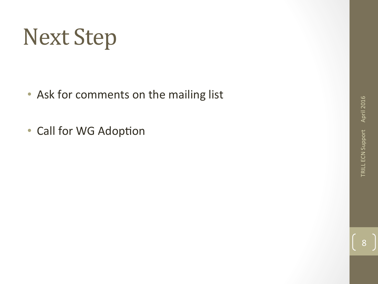#### **Next Step**

- Ask for comments on the mailing list
- Call for WG Adoption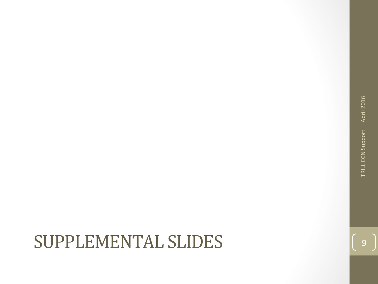#### SUPPLEMENTAL SLIDES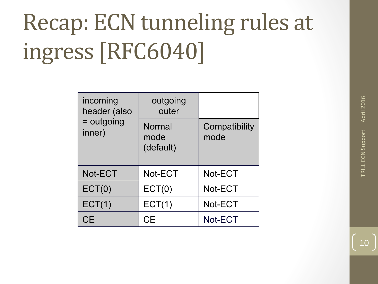#### Recap: ECN tunneling rules at ingress [RFC6040]

| incoming<br>header (also | outgoing<br>outer                  |                       |
|--------------------------|------------------------------------|-----------------------|
| = outgoing<br>inner)     | <b>Normal</b><br>mode<br>(default) | Compatibility<br>mode |
| Not-ECT                  | Not-ECT                            | Not-ECT               |
| ECT(0)                   | ECT(0)                             | Not-ECT               |
| ECT(1)                   | ECT(1)                             | Not-ECT               |
| <b>CE</b>                | CE                                 | Not-ECT               |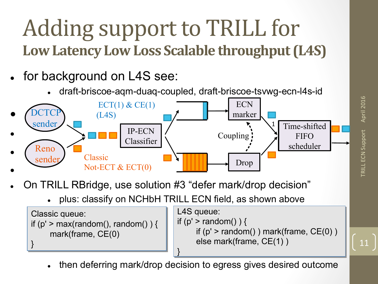#### Adding support to TRILL for Low Latency Low Loss Scalable throughput (L4S)

- for background on L4S see:
	- <sup>l</sup> draft-briscoe-aqm-duaq-coupled, draft-briscoe-tsvwg-ecn-l4s-id



- <sup>l</sup> On TRILL RBridge, use solution #3 "defer mark/drop decision"
	- plus: classify on NCHbH TRILL ECN field, as shown above

}

```
Classic queue:
    mark(frame, CE(0)
if (p' > max(random(), random()) {
}
```

```
L4S queue:
```
if ( $p'$  > random()) {

- if  $(p'$  > random $()$ ) mark(frame,  $CE(0)$ ) else mark(frame, CE(1) )
- <sup>l</sup> then deferring mark/drop decision to egress gives desired outcome